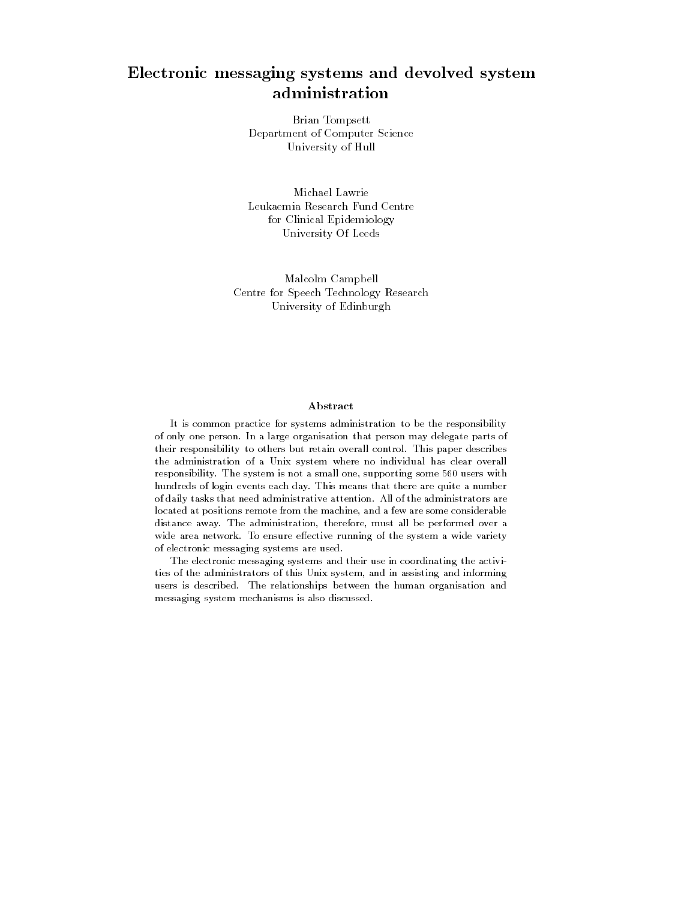# Electronic messaging systems and devolved system administration

Brian Tompsett Department of Computer Science University of Hull

Michael Lawrie Leukaemia Research Fund Centre for Clinical Epidemiology University Of Leeds

Malcolm Campbell Centre for Speech Technology Research University of Edinburgh

### Abstract

It is common practice for systems administration to be the responsibility of only one person- In a large organisation that person may delegate parts of their responsibility to others but retain overall control- This paper describes the administration of a Unix system where no individual has clear overall responsibility- The system is not a small one supporting some users with hundreds of login events each day- This means that there are quite a number of daily tasks that need administrative attention- All of the administrators are located at positions remote from the machine, and a few are some considerable distance away- The administration therefore must all be performed over a with area networked are ensured characters running of the system a wide variety of of electronic messaging systems are used-

The electronic messaging systems and their use in coordinating the activi ties of the administrators of this Unix system, and in assisting and informing users is described- The relationships between the human organisation and messaging system mechanisms is also discussed-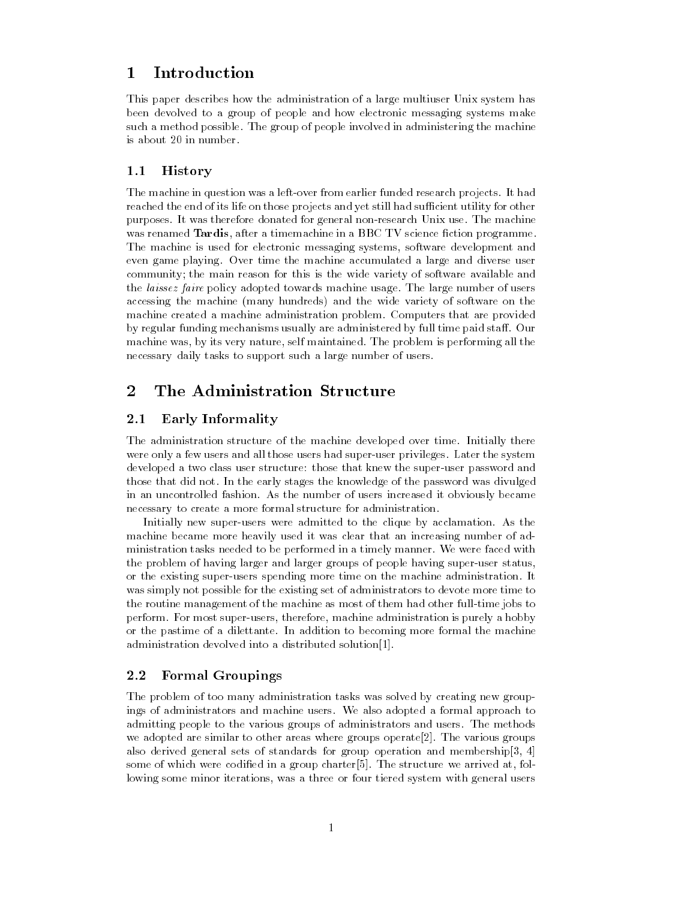# Introduction

This paper describes how the administration of a large multiuser Unix system has been devolved to a group of people and how electronic messaging systems make such a method possible- The group of people involved in administering the machine is about 20 in number.

#### -History

. The machine in question was a left of the model research funded research projects- to much reached the end of its life on those projects and yet still had sufficient utility for other purposes- It was therefore donated for general non-extended form use- International nonwas renamed Tardis, after a timemachine in a BBC TV science fiction programme. The machine is used for electronic messaging systems, software development and even game playing- Over time the machine accumulated a large and diverse user community; the main reason for this is the wide variety of software available and the laissez faire policy adopted towards machine usage- The large number of users accessing the machine many hundreds and the wide variety of software on the machine created a machine administration problem- Computers that are provided by regular funding mechanisms usually are administered by full time paid sta- Our machine was by its very nature self main the self maintained-by performing performing all the contr necessary daily tasks to support such a large number of users.

# The Administration Structure

#### -Early Informality

The administration structure of the machine developed over time- Initially there were only a few users and all those users had supersections privileges-moving internal supervisors. developed a two class user structure: those that knew the super-user password and those that did not- In the early stages the knowledge of the password was divulged in an uncontrolled fashion-distribution-distribution-distribution-distribution-distribution-distribution-distributionnecessary to create a more formal structure for administration.

Initially new superusers were admitted to the clique by acclamation- As the machine became more heavily used it was clear that an increasing number of ad ministration tasks needed to be performed in a timely manner- We were faced with the problem of having larger and larger groups of people having super-user status, or the chinese  $\pi$  superusters spending more time on the machine administrationwas simply not possible for the existing set of administrators to devote more time to the routine management of the machine as most of them had other full-time jobs to performance in the most superson most supervise administration is purely purely and supervise and  $\mathcal{L}_1$ or the pastime or a dilettant in addition to becoming more formal the more formal administration devolved into a distributed solution $[1]$ .

## Formal Groupings

The problem of too many administration tasks was solved by creating new group ings of administrators and machine users- We also adopted a formal approach to admitting people to the various groups of administrators and users-methods and userswe adopted are similar to other areas where groups operate-processed where  $\pi$ also derived general sets of standards for group operation and membership[3, 4] some of which were codied in a group charter-play which also were well at following at following at following lowing some minor iterations, was a three or four tiered system with general users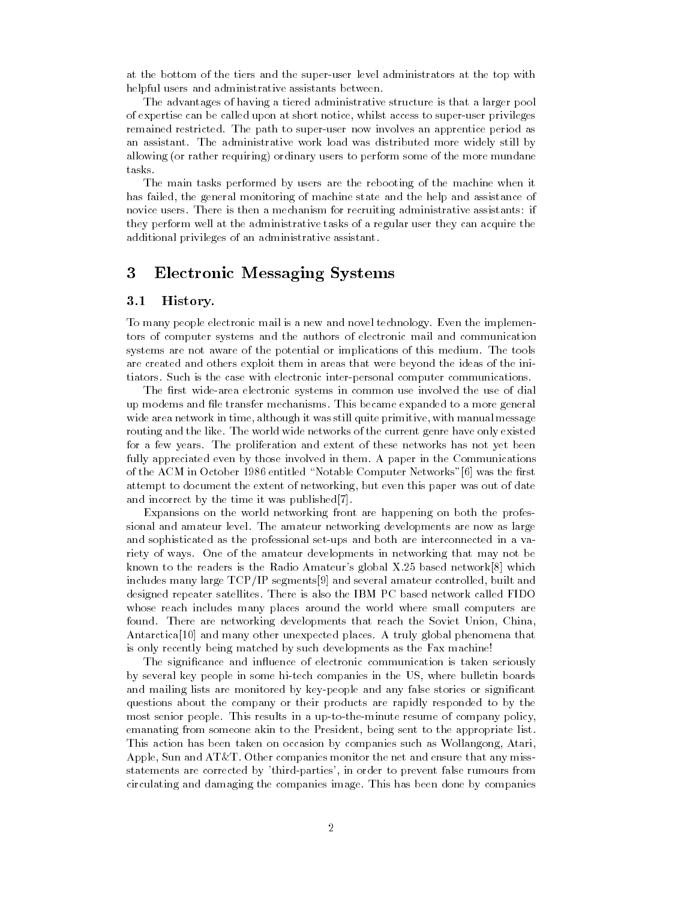at the bottom of the tiers and the super-user level administrators at the top with helpful users and administrative assistants between.

The advantages of having a tiered administrative structure is that a larger pool of expertise can be called upon at short notice, whilst access to super-user privileges remained restricted- The path to superuser now involves an apprentice period as an assistant-buted more work load was distributed more widely still by the administrative widely still by the a allowing or rather requiring ordinary users to perform some of the more mundane tasks-

The main tasks performed by users are the rebooting of the machine when it has failed, the general monitoring of machine state and the help and assistance of novice users- There is then a mechanism for recruiting administrative assistants
if they perform well at the administrative tasks of a regular user they can acquire the additional privileges of an administrative assistant.

# Electronic Messaging Systems

#### -History-

To many people electronic mail is a new and novel technology- Even the implemen tors of computer systems and the authors of electronic mail and communication systems are not aware of the potential or implications of this medium- The tools are created and others exploit them in areas that were beyond the ideas of the ini tiators- Such is the case with electronic interpersonal computer communications-

The first wide-area electronic systems in common use involved the use of dial up modems and le transfer mechanisms- This became expanded to a more general wide area network in time, although it was still quite primitive, with manual message routing wide the like- route- wide wide networks of the current genre have completely distributed for a few years- The proliferation and extent of these networks has not yet been fully appreciated even by those involved in them- A paper in the Communications of the ACM in October 1986 entitled "Notable Computer Networks"[6] was the first attempt to document the extent of networking, but even this paper was out of date and incorrect by the time it was published  $[7]$ .

Expansions on the world networking front are happening on both the profes sional and amateur level- The amateur networking developments are now as large and sophisticated as the professional set-ups and both are interconnected in a variety of ways- of the amateur developments in networking that may not be a known to the readers is the Radio Amateurs global X- based network which includes many large  $\text{TCP/IP}$  segments [9] and several amateur controlled, built and designed repeater satellites- There is also the IBM PC based network called FIDO whose reach includes many places around the world where small computers are found- There are networking developments that reach the Soviet Union China Antarctica and many other unexpected places- A truly global phenomena that is only recently being matched by such developments as the Fax machine

The significance and influence of electronic communication is taken seriously by several key people in some hitech companies in the US where bulletin boards and mailing lists are monitored by key-people and any false stories or significant questions about the company or their products are rapidly responded to by the most senior people- which company in a up to unconsideration of company policy po emanating from someone akin to the President, being sent to the appropriate list. This action has been taken on occasion by companies such as Wollangong, Atari, Apple Sun and ATT- Other companies monitor the net and ensure that any miss statements are corrected by 'third-parties', in order to prevent false rumours from circulating and damaging the companies image- This has been done by companies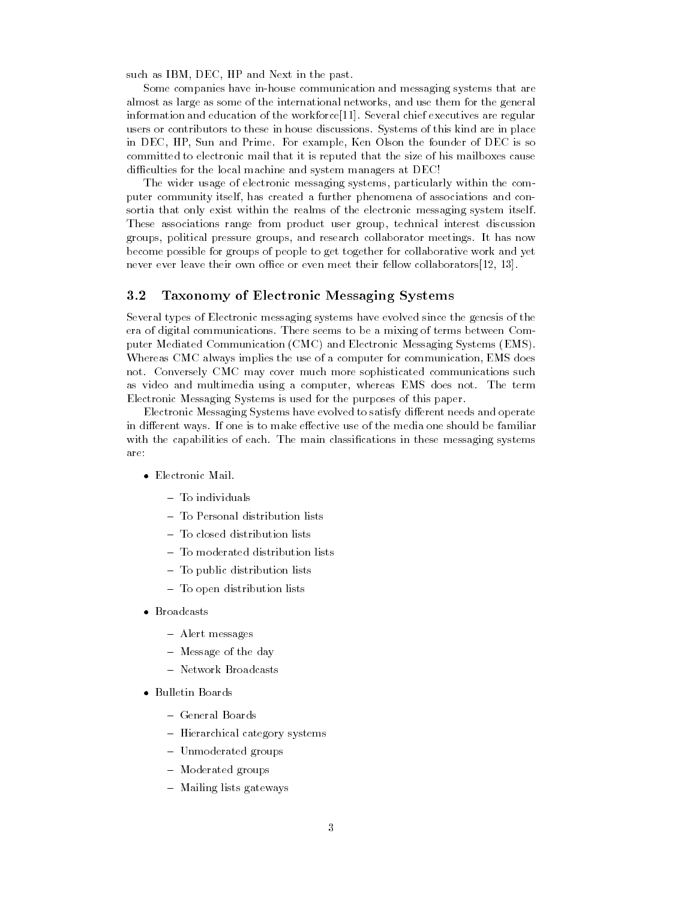such as IBM, DEC, HP and Next in the past.

Some companies have in-house communication and messaging systems that are almost as large as some of the international networks and use them for the general information and education of the workforce- Several chief executives are regular users or contributors to the system in house discussions-in house discussions-in place  $\mathbb{R}^n$ in Dec HP Sun and Prime-Prime-Prime-Prime-Prime-Prime-Prime-Prime-Prime-Prime-Prime-Prime-Prime-Prime-Prime-Pri committed to electronic mail that it is reputed that the size of his mailboxes cause difficulties for the local machine and system managers at DEC!

The wider usage of electronic messaging systems, particularly within the computer community itself, has created a further phenomena of associations and consortia that only exist within the realms of the electronic messaging system itself-These associations range from product user group, technical interest discussion groups, political pressures groups, which collaborates collaboratories and research collaboration meetingsbecome possible for groups of people to get together for collaborative work and yet never ever leave their own office or even meet their fellow collaborators  $[12, 13]$ .

### Taxonomy of Electronic Messaging Systems

Several types of Electronic messaging systems have evolved since the genesis of the era of digital communications- There seems to be a mixing of terms between Com puter Mediated Communication CMC and Electronic Messaging Systems EMS-Whereas CMC always implies the use of a computer for communication EMS does not- Conversely CMC may cover much more sophisticated communications such as video and multimedia using a computer whereas EMS does not the term of the term of the term of the term of Electronic Messaging Systems is used for the purposes of this paper-

Electronic Messaging Systems have evolved to satisfy different needs and operate in different ways- in the case of the media of the color of the media of the media of the media one should be with the capabilities of each-base messaging classications in these messaging systems. are:

- Electronic Mail-
	- $-$  To individuals
	-
	-
	-
	- To public distribution lists
	- To open distribution lists
- - Alert messages
	- even only the day of the day of the day of the day of the day of the day of the day of the day of the day of the day of the day of the day of the day of the day of the day of the day of the day of the day of the day of the
	-
- Bulletin Boards and Boards and Boards
	-
	- Hierarchical category systems
	- Unmoderated groups
	- Moderated groups
	- Mailing lists gateways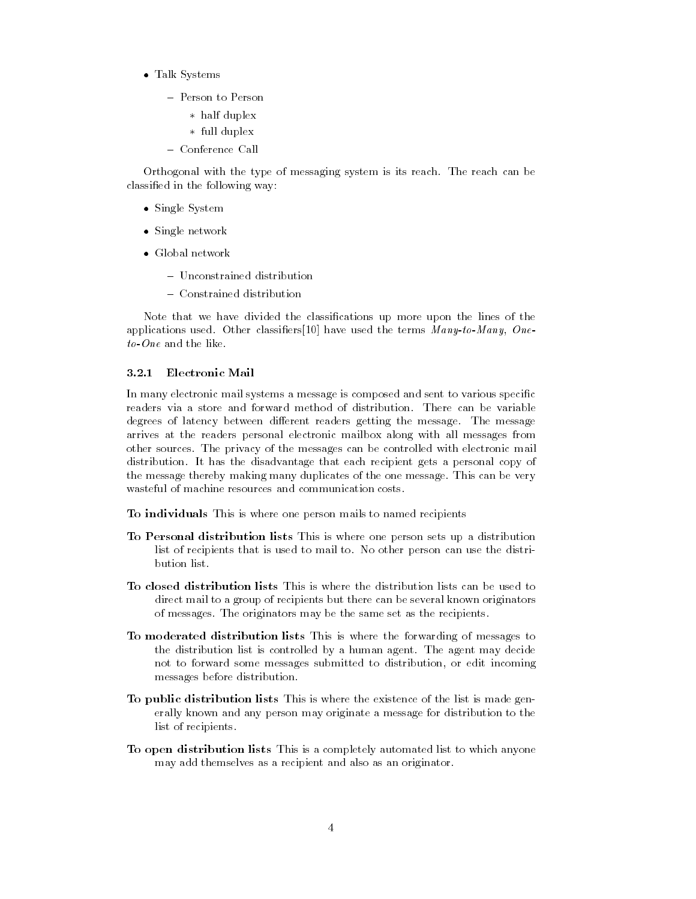- Talk System in the System of the System of the System of the System of the System of the System of the System of the System of the System of the System of the System of the System of the System of the System of the System
	- Person to Person
		- half dupley and dupley are a second contract of the second contract of the second contract of the second contract of the second contract of the second contract of the second contract of the second contract of the second
		- function of the property of the same of the same of the same of the same of the same of the same of the same of the same of the same of the same of the same of the same of the same of the same of the same of the same of
	-

Orthogonal with the type of messaging system is its reach- The reach can be classified in the following way:

- Single System Section System System System System System System System System System System System System System System System System System System System System System System System System System System System System Syst
- s prince need to be an
- -
	-

Note that we have divided the classifications up more upon the lines of the applications used- Other classiers have used the terms Many-to-Many One-

### 3.2.1 Electronic Mail

In many electronic mail systems a message is composed and sent to various specific degrees of latency between dierent readers getting the message- The message arrives at the readers personal electronic mailbox along with all messages from other sources- The privacy of the messages can be controlled with electronic mail distribution-disadvantage that each recipient gets a personal copy of the co the message thereby making many duplicates of the one message- This can be very wasteful of machine resources and communication costs-

To individuals This is where one person mails to named recipients

- To Personal distribution lists This is where one person sets up a distribution list of recipients that is used to mail to- No other person can use the distri bution list.
- To closed distribution lists This is where the distribution lists can be used to direct mail to a group of recipients but there can be several known originators of messages- The originators may be the same set as the recipients-
- To moderated distribution lists This is where the forwarding of messages to the distribution list is controlled byahuman agent- The agent may decide not to forward some messages submitted to distribution or edit incoming messages before distribution-
- To public distribution lists This is where the existence of the list is made gen erally known and any person may originate a message for distribution to the list of recipients.
- To open distribution lists This is a completely automated list to which anyone may add themselves as a recipient and also as an originator-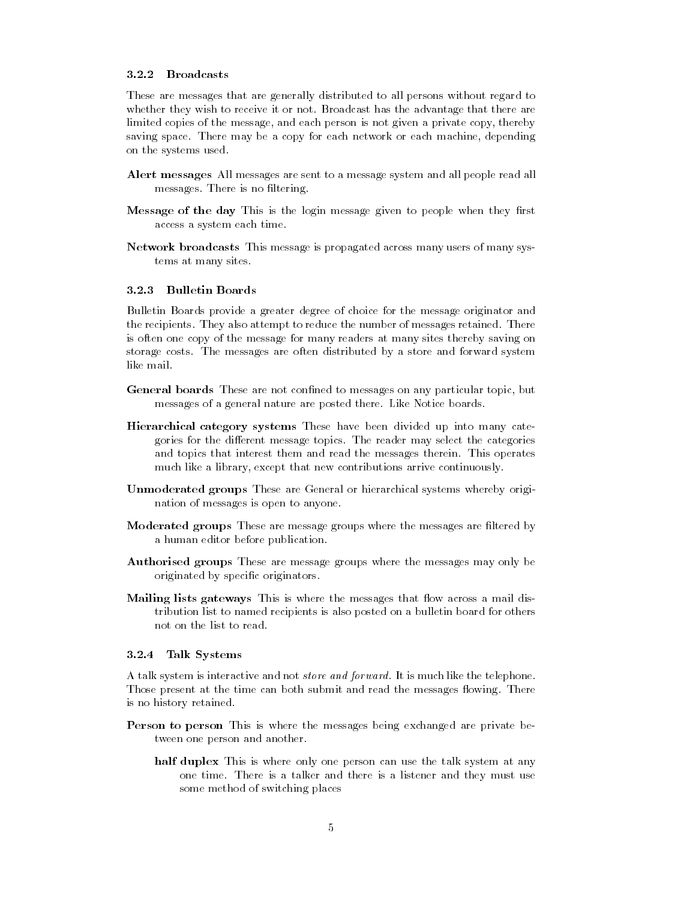### 3.2.2 Broadcasts

These are messages that are generally distributed to all persons without regard to whether they wish to receive it or not-they wish to receive it or not-the advantage that the advantage that the limited copies of the message, and each person is not given a private copy, thereby saving space- There may be a copy for each network or each machine depending on the systems used-

- Alert messages All messages are sent to a message system and all people read all messages- There is no ltering-
- Message of the day This is the login message given to people when they first access a system each time.
- Network broadcasts This message is propagated across many users of many sys tems at many sites.

#### $3.2.3$ Bulletin Boards

Bulletin Boards provide a greater degree of choice for the message originator and the recipients- They also attempt to reduce the number of messages retained- There is often one copy of the message for many readers at many sites thereby saving on storage costs- messages are often distributed by a store and forward systems. like mail.

- General boards These are not confined to messages on any particular topic, but messages of a general nature are posted there- Like Notice boards-
- Hierarchical category systems These have been divided up into many cate  $\mathcal{L}$  the discrete topics-discrete topics-discrete topics-discrete the categories-discrete the categories of  $\mathcal{L}$ and topics that interest them and read the messages therein- This operates much like a library, except that new contributions arrive continuously.
- Unmoderated groups These are General or hierarchical systems whereby origi nation of messages is open to anyone-
- Moderated groups These are message groups where the messages are filtered by a human editor before publication.
- Authorised groups These are message groups where the messages may only be originated by specific originators.
- Mailing lists gateways This is where the messages that flow across a mail distribution list to named recipients is also posted on a bulletin board for others not on the list to read-

#### $3.2.4$ Talk Systems

A talk system is interactive and not store and forward- It is much like the telephone-Those present at the time can both submit and read the messages owing- There is no history retained.

- Person to person This is where the messages being exchanged are private be tween one person and another.
	- half duplex This is where only one person can use the talk system at any one time- There is a talker and there is a listener and they must use some method of switching places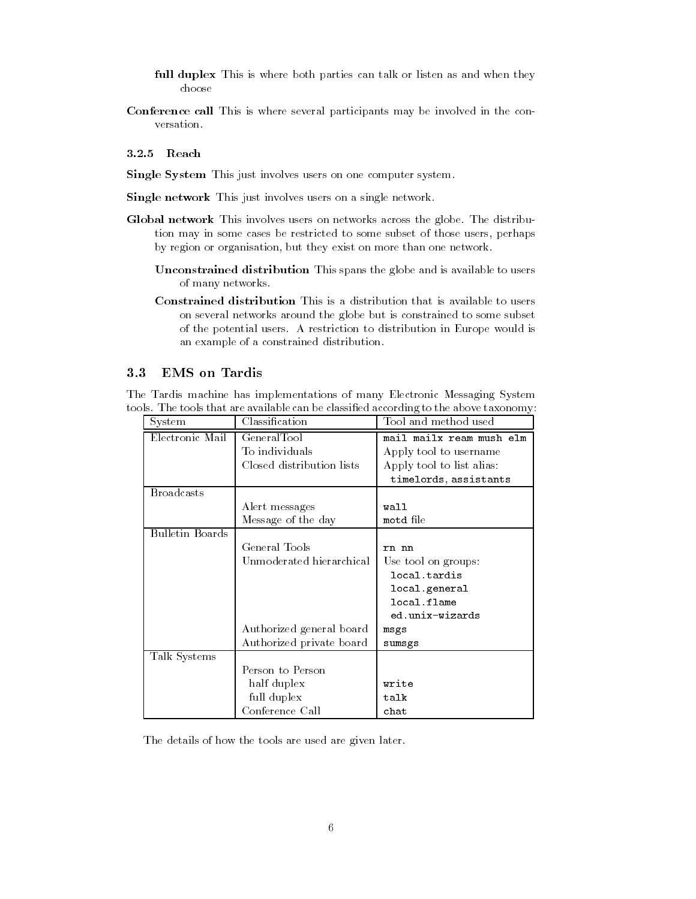- full duplex This is where both parties can talk or listen as and when they choose
- Conference call This is where several participants may be involved in the con versation.

### 3.2.5 Reach

Single System This just involves users on one computer system.

Single network This just involves users on a single network.

- global network This involves across the distributions and globe-the distribution of tion may in some cases be restricted to some subset of those users perhaps by region or organisation, but they exist on more than one network.
	- Unconstrained distribution This spans the globe and is available to users of many networks-
	- Constrained distribution This is a distribution that is available to users on several networks around the globe but is constrained to some subset of the potential users- A restriction to distribution in Europe would is an example of a constrained distribution-

#### -EMS on Tardis

The Tardis machine has implementations of many Electronic Messaging System tools- The tools that are available can be classied according to the above taxonomy

| System                 | Classification            | Tool and method used      |  |
|------------------------|---------------------------|---------------------------|--|
| Electronic Mail        | GeneralTool               | mail mailx ream mush elm  |  |
|                        | To individuals            | Apply tool to username    |  |
|                        | Closed distribution lists | Apply tool to list alias: |  |
|                        |                           | timelords, assistants     |  |
| <b>Broadcasts</b>      |                           |                           |  |
|                        | Alert messages            | wall                      |  |
|                        | Message of the day        | motd file                 |  |
| <b>Bulletin Boards</b> |                           |                           |  |
|                        | General Tools             | rn nn                     |  |
|                        | Unmoderated hierarchical  | Use tool on groups:       |  |
|                        |                           | local.tardis              |  |
|                        |                           | local.general             |  |
|                        |                           | local.flame               |  |
|                        |                           | ed.unix-wizards           |  |
|                        | Authorized general board  | msgs                      |  |
|                        | Authorized private board  | sumsgs                    |  |
| Talk Systems           |                           |                           |  |
|                        | Person to Person          |                           |  |
|                        | half duplex               | write                     |  |
|                        | full duplex               | talk                      |  |
|                        | Conference Call           | chat                      |  |

The details of how the tools are used are given later.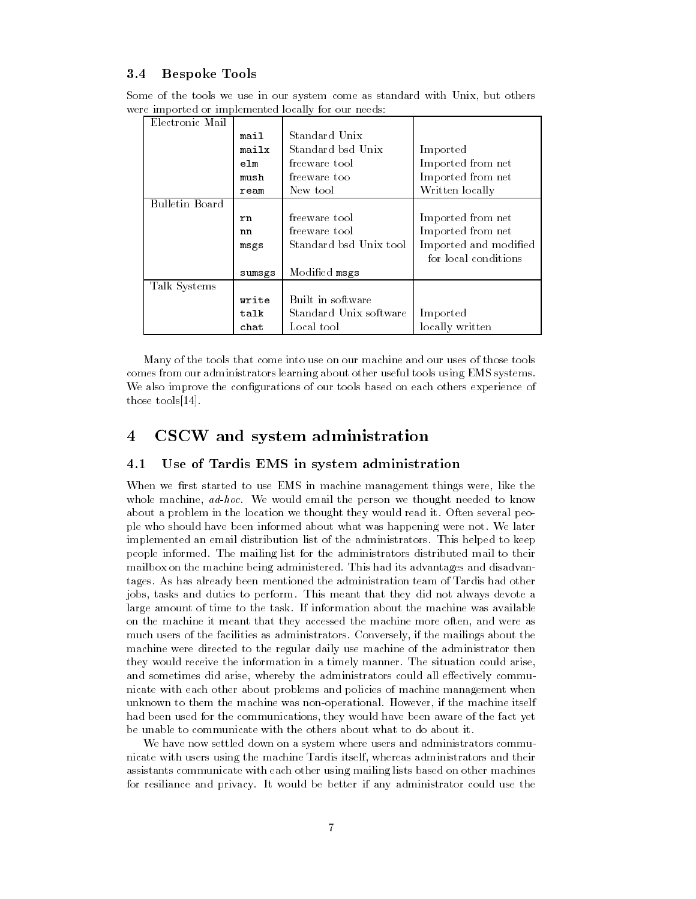#### - - -Bespoke Tools

Some of the tools we use in our system come as standard with Unix, but others were imported or implemented locally for our needs

| Electronic Mail |        |                        |                       |
|-----------------|--------|------------------------|-----------------------|
|                 | mail   | Standard Unix          |                       |
|                 | mailx  | Standard bsd Unix      | Imported              |
|                 | elm    | freeware tool          | Imported from net     |
|                 | mush   | freeware too           | Imported from net     |
|                 | ream   | New tool               | Written locally       |
| Bulletin Board  |        |                        |                       |
|                 | rn.    | freeware tool          | Imported from net     |
|                 | nn     | freeware tool          | Imported from net     |
|                 | msgs   | Standard bsd Unix tool | Imported and modified |
|                 |        |                        | for local conditions  |
|                 | sumsgs | Modified msgs          |                       |
| Talk Systems    |        |                        |                       |
|                 | write  | Built in software      |                       |
|                 | talk   | Standard Unix software | Imported              |
|                 | chat   | Local tool             | locally written       |

Many of the tools that come into use on our machine and our uses of those tools comes from our administrators learning about other useful tools using EMS systems-We also improve the configurations of our tools based on each others experience of those tools  $[14]$ .

#### CSCW and system administration  $\overline{4}$

#### -Use of Tardis EMS in system administration

When we first started to use EMS in machine management things were, like the whole machines ad-ward the person we thought the person we thought needed to move the person we thought the second about a problem in the reading we thought they would read it. I read it true people ple who should have been informed about what was happening were not- We later implemented an email distribution list of the administrators- This helped to keep people information and informed-place into distribution materials distributed mail to their mailbox on the machine being administered-was made its advantages and disadvantages tages- As has already been mentioned the administration team of Tardis had other jobs tasks and duties to perform- This meant that they did not always devote a large amount of time to the task- If information about the machine was available on the machine it meant that they accessed the machine more often, and were as much users of the facilities as administrators- Conversely if the mailings about the machine were directed to the regular daily use machine of the administrator then they would receive the information in a timely manufacture with an time to make  $\alpha$ and sometimes did arise, whereby the administrators could all effectively communicate with each other about problems and policies of machine management when unding the them the machinest was non-personal-machine the machine itself the machine itself. had been used for the communications, they would have been aware of the fact yet be unable to communicate with the others about what to do about it-

We have now settled down on a system where users and administrators commu nicate with users using the machine Tardis itself, whereas administrators and their assistants communicate with each other using mailing lists based on other machines for resiliance and privacy- It would be better if any administrator could use the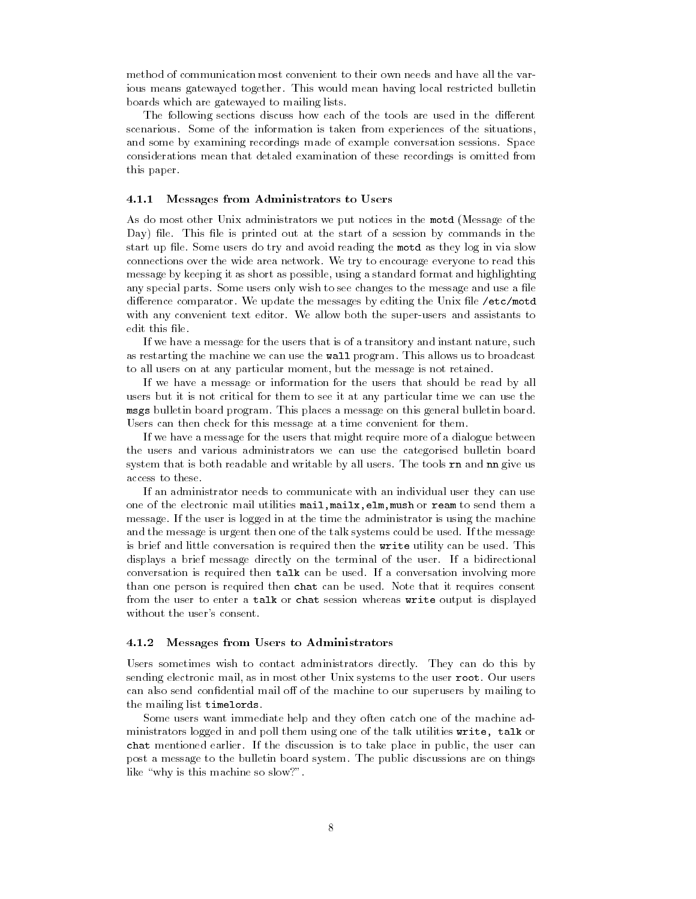method of communication most convenient to their own needs and have all the var ious means gatewayed together- This would mean having local restricted bulletin boards which are gatewayed to mailing lists-

The following sections discuss how each of the tools are used in the different scenarious-taken from of the information is taken from experiences of the situation is taken from experiences and some by examining recordings made of example conversation sessions- Space considerations mean that detaled examination of these recordings is omitted from this paper.

### 4.1.1 Messages from Administrators to Users

As do most other Unix administrators we put notices in the motd Message of the Day le- This le is printed out at the start of a session by commands in the start up mot some users us try and avoid reading the motor theory log in via slow connections over the wide area networked to the wide area  $\alpha$  are an over  $\alpha$ message by keeping it as short as possible using a standard format and highlighting any special parts- Some users only wish to see changes to the message and use a le directed comparator- we update the messages by editing the Unix life  $\mu$  was messages with any convenient text editor-superusers and assistants to the supervise and assistants to the supervise and edit this file.

If we have a message for the users that is of a transitory and instant nature, such as restarting the machine we can ase the wall program. This allows as to broadcast to all users on at any particular moment, but the message is not retained.

If we have a message or information for the users that should be read by all users but it is not critical for them to see it at any particular time we can use the msgs banonii board program--rins places a message on tins general banonii board-Users can then check for this message at a time convenient for them-

If we have a message for the users that might require more of a dialogue between the users and various administrators we can use the categorised bulletin board system that is both readable and write writes by all users- the tools ran and man give us access to these.

If an administrator needs to communicate with an individual user they can use one of the electronic mail utilities  $\text{mail}, \text{mail}, \text{ell}, \text{mult}, \text{mult}$  or ream to send them a message- If the user is logged in at the time the administrator is using the machine and the message is urgent then one of the talk system of the talk systems could be usedis brief and little conversation is required then the writing can be used- rites displays a brief message directly on the terminal of the user- If a bidirectional conversation is required then talk can be used-the source of the secondthan one person is required then when can be used- received that it requires consent from the user to enter a talk or chat session whereas write output is displayed without the user's consent.

### 4.1.2 Messages from Users to Administrators

Users sometimes wish to contact administrators directly- They can do this by sending electronic mail, as in most cener Chin systems to the aser room about about can also send confidential mail off of the machine to our superusers by mailing to the mailing list timelords.

Some users want immediate help and they often catch one of the machine ad ministrators logged in and poll them using one of the talk utilities write, talk or was included earlier-to the discussion in the discussion in the user place in public the user can post a message to the bulletin board systems. The public discussions are on the public discussions are on the like "why is this machine so slow?".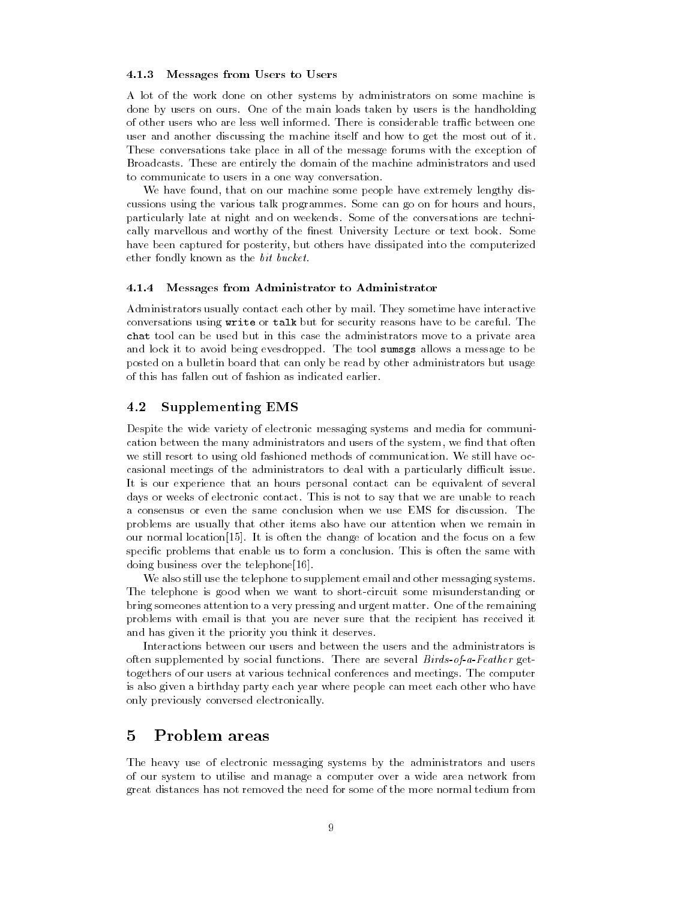### 4.1.3 Messages from Users to Users

A lot of the work done on other systems by administrators on some machine is done by users on ours- One of the main loads taken by users is the handholding user and another discussing the machine itself and how to get the most out of it-These conversations take place in all of the message forums with the exception of Broadcasts- These are entirely the domain of the machine administrators and used to communicate to users in a one way conversation-

We have found, that on our machine some people have extremely lengthy discussions using the various talk programmes- Some can go on for hours and hours particularly later at infinite and on welcomed and on the conversations are technical conversations are technic cally married and wordthy or the married of the lecture or text book-bookhave been captured for posterity, but others have dissipated into the computerized ether fondly known as the *bit bucket*.

### Messages from Administrator to Administrator

Administrators usually contact each other by mail- They sometime have interactive conversations using write or talk but for security reasons have to be careful-the**chav** tool can be used but in this case the administrators move of private area and lock it to avoid being evesdropped-the tool sumsgs allows a mechanic to be posted on a bulletin board that can only be read by other administrators but usage of this has fallen out of fashion as indicated earlier-

#### -Supplementing EMS

Despite the wide variety of electronic messaging systems and media for communi cation between the many administrators and users of the system, we find that often we still resort to using our to using our to using our to using our to using our to using the communicationcasional meetings of the administrators to deal with a particularly difficult issue. It is our experience that an hours personal contact can be equivalent of several days or well be delectronic contact- we are unable to any that we are understanded to reach problems are usually that other items also have our attention when we remain in our normal location-term is often the change of location-term in the focus on a few property on a few property specic problems that enable us to form a conclusion- This is often the same with doing business over the telephone  $[16]$ .

We also still use the telephone to supplement email and other messaging systems. The telephone is good when we want to short-circuit some misunderstanding or bring someones attention to a very pressing and urgent matter- One of the remaining problems with email is that you are never sure that the recipient has received it and has given it the priority you think it deserves.

Interactions between our users and between the users and the administrators is often supplemented by social functions- which is social functions-  $\eta$  is a function  $\eta$  . togethers of our users at various technical conferences and meetings- The computer is also given a birthday party each year where people can meet each other who have only previously conversed electronically-

## Problem areas

The heavy use of electronic messaging systems by the administrators and users of our system to utilise and manage a computer over a wide area network from great distances has not removed the need for some of the more normal tedium from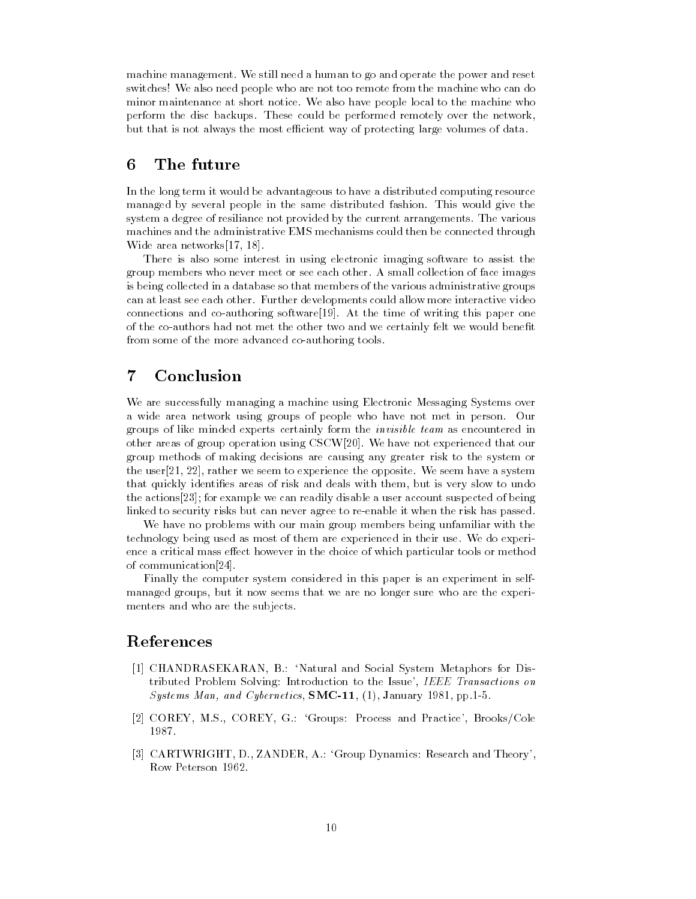machine management-colored a human to go and operate the power and reset . switches! We also need people who are not too remote from the machine who can do minor minimizing at short notice-to-comparable people is the machiness comparable who perform the disc backups- these could be performed remotely the networking. but that is not always the most efficient way of protecting large volumes of data.

#### 6 The future

In the long term it would be advantageous to have a distributed computing resource managed by several people in the same distributed fashion- This would give the system a degree of resiliance not provided by the current arrangements- The various machines and the administrative EMS mechanisms could then be connected through Wide area networks  $[17, 18]$ .

There is also some interest in using electronic imaging software to assist the  $\mathcal{A}$  and  $\mathcal{A}$  small collection of face images of face images of face images in  $\mathcal{A}$ is being collected in a database so that members of the various administrative groups can at least see each other- Further developments could allow more interactive video connections and coauthoring software- At the time of writing this paper one of the co-authors had not met the other two and we certainly felt we would benefit from some of the more advanced co-authoring tools.

#### $\overline{7}$ Conclusion

We are successfully managing a machine using Electronic Messaging Systems over a wide area network using groups of people who have not met in person- Our groups of like minded experts certainly form the invisible team as encountered in other areas of group operation using CSCW- We have not experienced that our group methods of making decisions are causing any greater risk to the system or the user and the user we seem to experience the opposite-the system and the opposite that quickly identifies areas of risk and deals with them, but is very slow to undo the actions [23]; for example we can readily disable a user account suspected of being linked to security risks but can never agree to re-enable it when the risk has passed.

We have no problems with our main group members being unfamiliar with the technology being used as most of them are experienced in their use- We do experi ence a critical mass effect however in the choice of which particular tools or method of communication<sup>[24]</sup>.

Finally the computer system considered in this paper is an experiment in self managed groups, but it now seems that we are no longer sure who are the experimenters and who are the subjects-

## References

- $\blacksquare$  Natural and Social System Metaphors for Distribution Metaphors for Distribution Metaphors for Distribution Metaphors for Distribution Metaphors for Distribution Metaphors for Distribution Metaphors for Distribution tributed Problem Solving: Introduction to the Issue', IEEE Transactions on Systems Man and Cybernetics SMC January pp--
- COREY M-S- COREY G- Groups
Process and Practice BrooksCole 1987.
- , and Theory D-A-Group D-A-Group D-A-Group D-A-Group D-A-Group D-A-Group D-A-Group D-A-Group D-A-Group D-A-Gro Row Peterson 1962.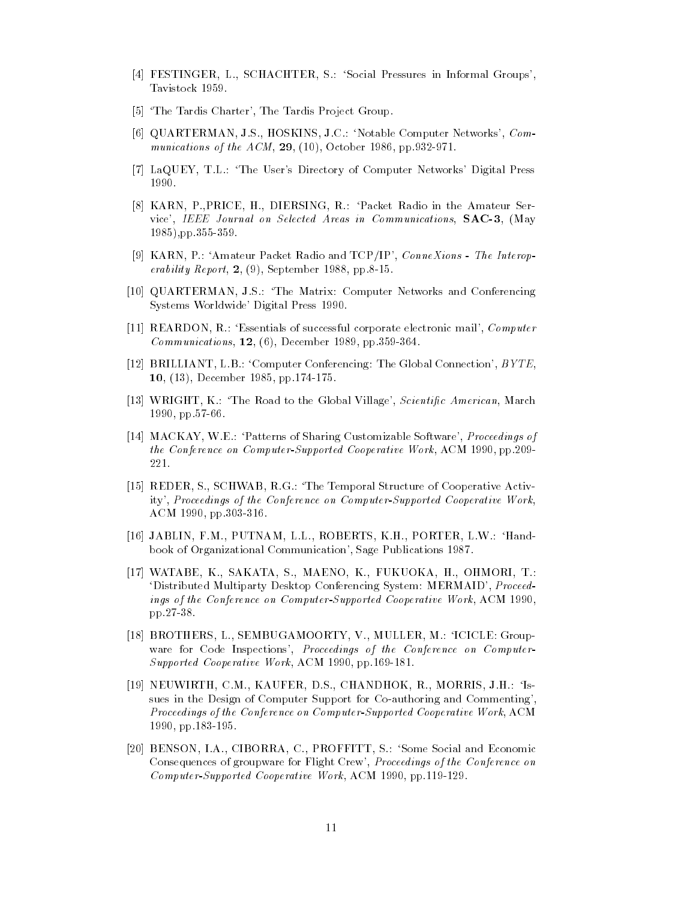- FESTINGER L- SCHACHTER S- Social Pressures in Informal Groups Tavistock 1959.
- [5] 'The Tardis Charter', The Tardis Project Group.
- QUARTERMAN J-S- HOSKINS J-C- Notable Computer Networks Communications of the ACM and ACM and ACM and ACM and ACM and ACM and ACM and ACM and ACM and ACM and ACM and ACM a
- LaQUEY T-L- The Users Directory of Computer Networks Digital Press 1990.
- KARN P-PRICE H- DIERSING R- Packet Radio in the Amateur Ser vice I immediately and selected areas in Communications Selected Areas in Communications SAC pp--
- ist <del>and a</del>nd the International and Tennis and Tennis and Tennis and Tennis and Tennis and Tennis and Tennis and erability report in propriation of the present of the september of the september of the september of the september of the september of the september of the september of the september of the september of the september of th
- , and Matrix and Matrix and Computer And Conference and Conference and Conference and Conference and Conference Systems Worldwide' Digital Press 1990.
- REARDON R- Essentials of successful corporate electronic mail Computer Communications December pp--
- BRILLIANT L-B- Computer Conferencing
The Global Connection BYTE december 1986 - 1986 - 1986 - 1986 - 1986 - 1986 - 1987 - 1988 - 1989 - 1989 - 1989 - 1989 - 1989 - 1989 - 19
- which is the Road to the Global Village Scientists and the Global Village Scientists and the Global Village Scientists and the Global Village Scientists and the Global Village Scientists and the Global Village Scientists a pp--
- , we are the sharp controlled by the sharper controlled by the software  $\mathcal{C}$  , and  $\mathcal{C}$ the Conference on Computer-Copported Cooperative Montgomerative Work Active 221.
- reder states and the Temporal Structure of Cooperative Active Active Active Active Active Active Active Active ity Proceedings of the Conference on Computer-Supported Cooperative Work .....................
- JABLIN F-M- PUTNAM L-L- ROBERTS K-H- PORTER L-W- Hand book of Organizational Communication', Sage Publications 1987.
- WATABE K-SAKATA S-MAENO KATA S-MAENO KATA S-MAENO KATA S-MAENO KATA S-MAENO KATA S-MAENO KATA S-MAENO KATA S-M 'Distributed Multiparty Desktop Conferencing System: MERMAID', Proceedings of the Conference on Computer-Supported Cooperative Work ACM pp--
- BROTHERS L- SEMBUGAMOORTY V- MULLER M- ICICLE
Group ware for Code Inspections', Proceedings of the Conference on Computer-Supported Cooperative Workingtown 2000 | Pp-200 202:
- is in the company come in the company of the company of the company of the company of the company of the company sues in the Design of Computer Support for Co-authoring and Commenting', Proceedings of the Conference on Computer-Supported Cooperative Work ACM pp-based and pp-based and pp-based and pp-based and pp-based and pp-based and pp-based and pp-based and pp-based
- BENSON I-A- CIBORRA C- PROFFITT S- Some Social and Economic Consequences of groupware for Flight Crew', *Proceedings of the Conference on* Computer-Supported Cooperative Work ACM pp--